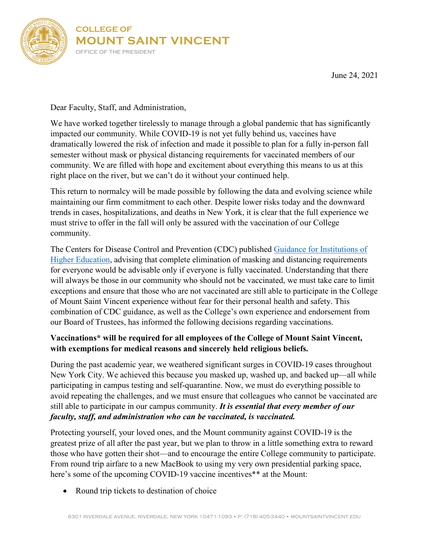

June 24, 2021

Dear Faculty, Staff, and Administration,

We have worked together tirelessly to manage through a global pandemic that has significantly impacted our community. While COVID-19 is not yet fully behind us, vaccines have dramatically lowered the risk of infection and made it possible to plan for a fully in-person fall semester without mask or physical distancing requirements for vaccinated members of our community. We are filled with hope and excitement about everything this means to us at this right place on the river, but we can't do it without your continued help.

This return to normalcy will be made possible by following the data and evolving science while maintaining our firm commitment to each other. Despite lower risks today and the downward trends in cases, hospitalizations, and deaths in New York, it is clear that the full experience we must strive to offer in the fall will only be assured with the vaccination of our College community.

The Centers for Disease Control and Prevention (CDC) published [Guidance for Institutions of](https://www.cdc.gov/coronavirus/2019-ncov/community/colleges-universities/considerations.html?source=email)  [Higher Education,](https://www.cdc.gov/coronavirus/2019-ncov/community/colleges-universities/considerations.html?source=email) advising that complete elimination of masking and distancing requirements for everyone would be advisable only if everyone is fully vaccinated. Understanding that there will always be those in our community who should not be vaccinated, we must take care to limit exceptions and ensure that those who are not vaccinated are still able to participate in the College of Mount Saint Vincent experience without fear for their personal health and safety. This combination of CDC guidance, as well as the College's own experience and endorsement from our Board of Trustees, has informed the following decisions regarding vaccinations.

## **Vaccinations\* will be required for all employees of the College of Mount Saint Vincent, with exemptions for medical reasons and sincerely held religious beliefs.**

During the past academic year, we weathered significant surges in COVID-19 cases throughout New York City. We achieved this because you masked up, washed up, and backed up—all while participating in campus testing and self-quarantine. Now, we must do everything possible to avoid repeating the challenges, and we must ensure that colleagues who cannot be vaccinated are still able to participate in our campus community. *It is essential that every member of our faculty, staff, and administration who can be vaccinated, is vaccinated.*

Protecting yourself, your loved ones, and the Mount community against COVID-19 is the greatest prize of all after the past year, but we plan to throw in a little something extra to reward those who have gotten their shot—and to encourage the entire College community to participate. From round trip airfare to a new MacBook to using my very own presidential parking space, here's some of the upcoming COVID-19 vaccine incentives<sup>\*\*</sup> at the Mount:

• Round trip tickets to destination of choice